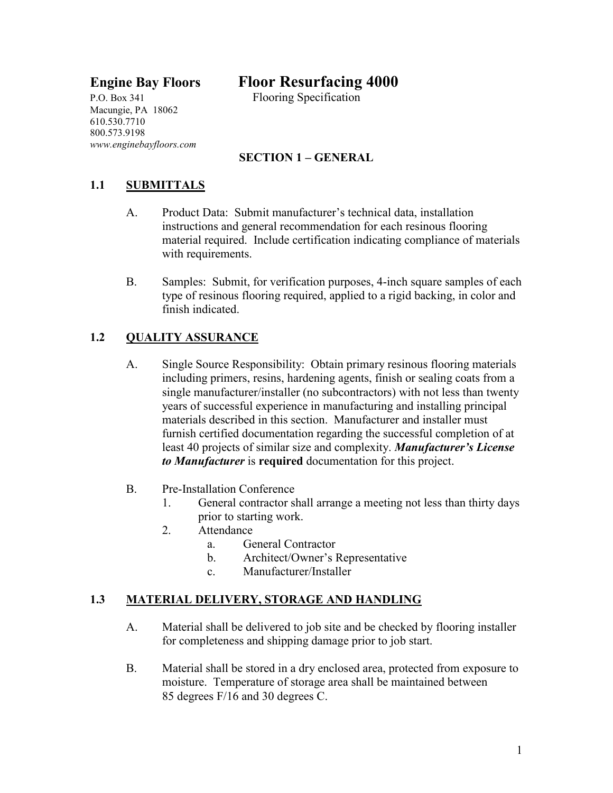P.O. Box 341 Flooring Specification Macungie, PA 18062 610.530.7710 800.573.9198 *www.enginebayfloors.com*

# **Engine Bay Floors Floor Resurfacing 4000**

## **SECTION 1 – GENERAL**

## **1.1 SUBMITTALS**

- A. Product Data: Submit manufacturer's technical data, installation instructions and general recommendation for each resinous flooring material required. Include certification indicating compliance of materials with requirements.
- B. Samples: Submit, for verification purposes, 4-inch square samples of each type of resinous flooring required, applied to a rigid backing, in color and finish indicated.

#### **1.2 QUALITY ASSURANCE**

- A. Single Source Responsibility: Obtain primary resinous flooring materials including primers, resins, hardening agents, finish or sealing coats from a single manufacturer/installer (no subcontractors) with not less than twenty years of successful experience in manufacturing and installing principal materials described in this section. Manufacturer and installer must furnish certified documentation regarding the successful completion of at least 40 projects of similar size and complexity. *Manufacturer's License to Manufacturer* is **required** documentation for this project.
- B. Pre-Installation Conference
	- 1. General contractor shall arrange a meeting not less than thirty days prior to starting work.
	- 2. Attendance
		- a. General Contractor
		- b. Architect/Owner's Representative
		- c. Manufacturer/Installer

#### **1.3 MATERIAL DELIVERY, STORAGE AND HANDLING**

- A. Material shall be delivered to job site and be checked by flooring installer for completeness and shipping damage prior to job start.
- B. Material shall be stored in a dry enclosed area, protected from exposure to moisture. Temperature of storage area shall be maintained between 85 degrees F/16 and 30 degrees C.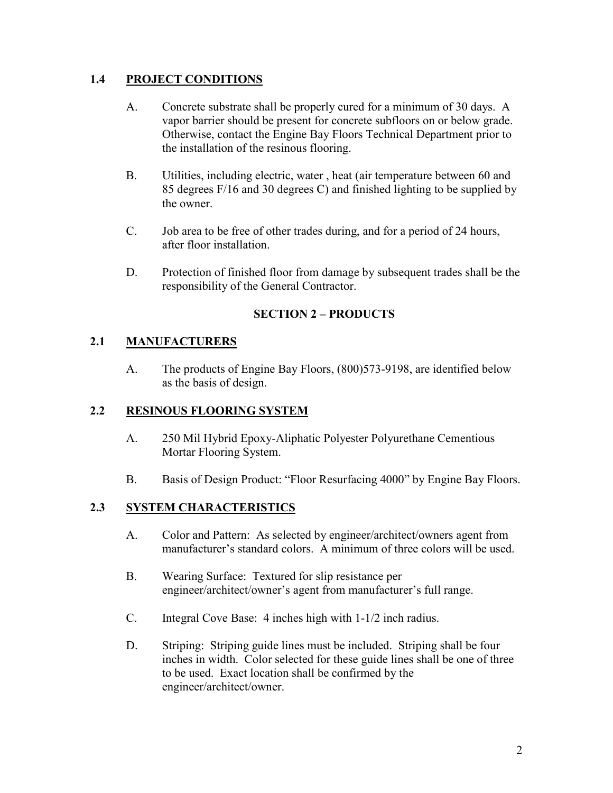#### **1.4 PROJECT CONDITIONS**

- A. Concrete substrate shall be properly cured for a minimum of 30 days. A vapor barrier should be present for concrete subfloors on or below grade. Otherwise, contact the Engine Bay Floors Technical Department prior to the installation of the resinous flooring.
- B. Utilities, including electric, water , heat (air temperature between 60 and 85 degrees F/16 and 30 degrees C) and finished lighting to be supplied by the owner.
- C. Job area to be free of other trades during, and for a period of 24 hours, after floor installation.
- D. Protection of finished floor from damage by subsequent trades shall be the responsibility of the General Contractor.

#### **SECTION 2 – PRODUCTS**

#### **2.1 MANUFACTURERS**

A. The products of Engine Bay Floors, (800)573-9198, are identified below as the basis of design.

#### **2.2 RESINOUS FLOORING SYSTEM**

- A. 250 Mil Hybrid Epoxy-Aliphatic Polyester Polyurethane Cementious Mortar Flooring System.
- B. Basis of Design Product: "Floor Resurfacing 4000" by Engine Bay Floors.

## **2.3 SYSTEM CHARACTERISTICS**

- A. Color and Pattern: As selected by engineer/architect/owners agent from manufacturer's standard colors. A minimum of three colors will be used.
- B. Wearing Surface: Textured for slip resistance per engineer/architect/owner's agent from manufacturer's full range.
- C. Integral Cove Base: 4 inches high with 1-1/2 inch radius.
- D. Striping: Striping guide lines must be included. Striping shall be four inches in width. Color selected for these guide lines shall be one of three to be used. Exact location shall be confirmed by the engineer/architect/owner.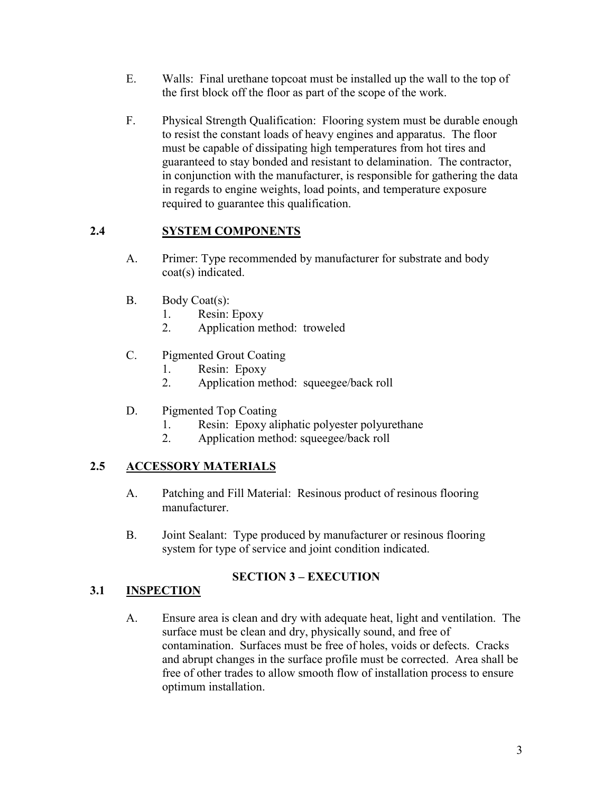- E. Walls: Final urethane topcoat must be installed up the wall to the top of the first block off the floor as part of the scope of the work.
- F. Physical Strength Qualification: Flooring system must be durable enough to resist the constant loads of heavy engines and apparatus. The floor must be capable of dissipating high temperatures from hot tires and guaranteed to stay bonded and resistant to delamination. The contractor, in conjunction with the manufacturer, is responsible for gathering the data in regards to engine weights, load points, and temperature exposure required to guarantee this qualification.

## **2.4 SYSTEM COMPONENTS**

- A. Primer: Type recommended by manufacturer for substrate and body coat(s) indicated.
- B. Body Coat(s):
	- 1. Resin: Epoxy
	- 2. Application method: troweled
- C. Pigmented Grout Coating
	- 1. Resin: Epoxy
	- 2. Application method: squeegee/back roll
- D. Pigmented Top Coating
	- 1. Resin: Epoxy aliphatic polyester polyurethane
	- 2. Application method: squeegee/back roll

## **2.5 ACCESSORY MATERIALS**

- A. Patching and Fill Material: Resinous product of resinous flooring manufacturer.
- B. Joint Sealant: Type produced by manufacturer or resinous flooring system for type of service and joint condition indicated.

## **SECTION 3 – EXECUTION**

#### **3.1 INSPECTION**

A. Ensure area is clean and dry with adequate heat, light and ventilation. The surface must be clean and dry, physically sound, and free of contamination. Surfaces must be free of holes, voids or defects. Cracks and abrupt changes in the surface profile must be corrected. Area shall be free of other trades to allow smooth flow of installation process to ensure optimum installation.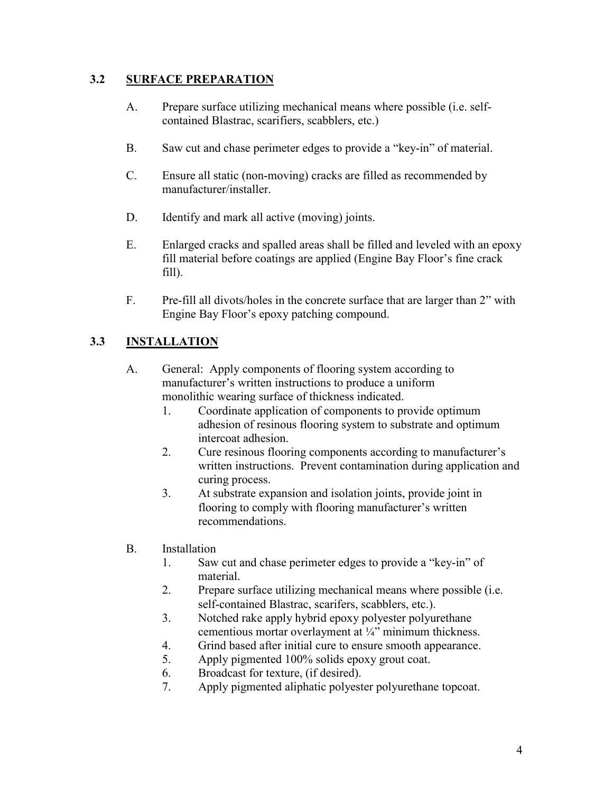#### **3.2 SURFACE PREPARATION**

- A. Prepare surface utilizing mechanical means where possible (i.e. selfcontained Blastrac, scarifiers, scabblers, etc.)
- B. Saw cut and chase perimeter edges to provide a "key-in" of material.
- C. Ensure all static (non-moving) cracks are filled as recommended by manufacturer/installer.
- D. Identify and mark all active (moving) joints.
- E. Enlarged cracks and spalled areas shall be filled and leveled with an epoxy fill material before coatings are applied (Engine Bay Floor's fine crack fill).
- F. Pre-fill all divots/holes in the concrete surface that are larger than 2" with Engine Bay Floor's epoxy patching compound.

#### **3.3 INSTALLATION**

- A. General: Apply components of flooring system according to manufacturer's written instructions to produce a uniform monolithic wearing surface of thickness indicated.
	- 1. Coordinate application of components to provide optimum adhesion of resinous flooring system to substrate and optimum intercoat adhesion.
	- 2. Cure resinous flooring components according to manufacturer's written instructions. Prevent contamination during application and curing process.
	- 3. At substrate expansion and isolation joints, provide joint in flooring to comply with flooring manufacturer's written recommendations.
- B. Installation
	- 1. Saw cut and chase perimeter edges to provide a "key-in" of material.
	- 2. Prepare surface utilizing mechanical means where possible (i.e. self-contained Blastrac, scarifers, scabblers, etc.).
	- 3. Notched rake apply hybrid epoxy polyester polyurethane cementious mortar overlayment at ¼" minimum thickness.
	- 4. Grind based after initial cure to ensure smooth appearance.
	- 5. Apply pigmented 100% solids epoxy grout coat.
	- 6. Broadcast for texture, (if desired).
	- 7. Apply pigmented aliphatic polyester polyurethane topcoat.